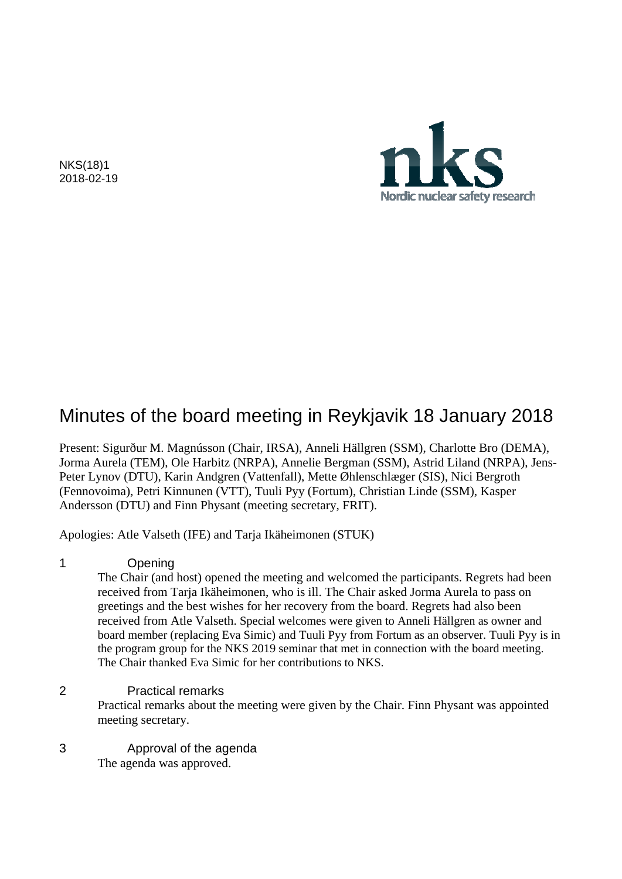NKS(18)1 2018-02-19



# Minutes of the board meeting in Reykjavik 18 January 2018

Present: Sigurður M. Magnússon (Chair, IRSA), Anneli Hällgren (SSM), Charlotte Bro (DEMA), Jorma Aurela (TEM), Ole Harbitz (NRPA), Annelie Bergman (SSM), Astrid Liland (NRPA), Jens-Peter Lynov (DTU), Karin Andgren (Vattenfall), Mette Øhlenschlæger (SIS), Nici Bergroth (Fennovoima), Petri Kinnunen (VTT), Tuuli Pyy (Fortum), Christian Linde (SSM), Kasper Andersson (DTU) and Finn Physant (meeting secretary, FRIT).

Apologies: Atle Valseth (IFE) and Tarja Ikäheimonen (STUK)

#### 1 Opening

The Chair (and host) opened the meeting and welcomed the participants. Regrets had been received from Tarja Ikäheimonen, who is ill. The Chair asked Jorma Aurela to pass on greetings and the best wishes for her recovery from the board. Regrets had also been received from Atle Valseth. Special welcomes were given to Anneli Hällgren as owner and board member (replacing Eva Simic) and Tuuli Pyy from Fortum as an observer. Tuuli Pyy is in the program group for the NKS 2019 seminar that met in connection with the board meeting. The Chair thanked Eva Simic for her contributions to NKS.

#### 2 Practical remarks

Practical remarks about the meeting were given by the Chair. Finn Physant was appointed meeting secretary.

### 3 Approval of the agenda

The agenda was approved.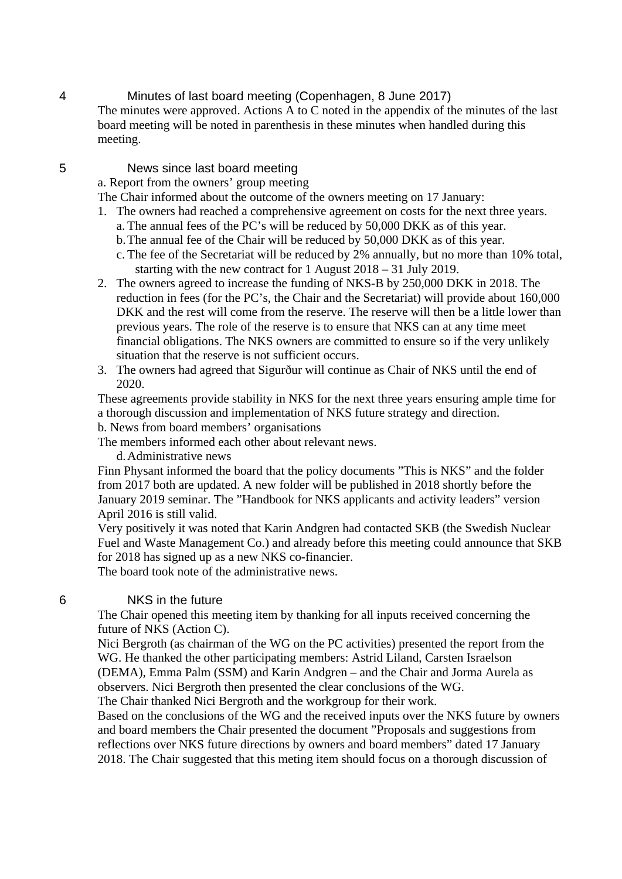#### 4 Minutes of last board meeting (Copenhagen, 8 June 2017)

The minutes were approved. Actions A to C noted in the appendix of the minutes of the last board meeting will be noted in parenthesis in these minutes when handled during this meeting.

#### 5 News since last board meeting

a. Report from the owners' group meeting

- The Chair informed about the outcome of the owners meeting on 17 January:
- 1. The owners had reached a comprehensive agreement on costs for the next three years.
	- a. The annual fees of the PC's will be reduced by 50,000 DKK as of this year. b.The annual fee of the Chair will be reduced by 50,000 DKK as of this year.
	- c. The fee of the Secretariat will be reduced by 2% annually, but no more than 10% total, starting with the new contract for 1 August 2018 – 31 July 2019.
- 2. The owners agreed to increase the funding of NKS-B by 250,000 DKK in 2018. The reduction in fees (for the PC's, the Chair and the Secretariat) will provide about 160,000 DKK and the rest will come from the reserve. The reserve will then be a little lower than previous years. The role of the reserve is to ensure that NKS can at any time meet financial obligations. The NKS owners are committed to ensure so if the very unlikely situation that the reserve is not sufficient occurs.
- 3. The owners had agreed that Sigurður will continue as Chair of NKS until the end of 2020.

These agreements provide stability in NKS for the next three years ensuring ample time for a thorough discussion and implementation of NKS future strategy and direction.

b. News from board members' organisations

The members informed each other about relevant news.

d.Administrative news

Finn Physant informed the board that the policy documents "This is NKS" and the folder from 2017 both are updated. A new folder will be published in 2018 shortly before the January 2019 seminar. The "Handbook for NKS applicants and activity leaders" version April 2016 is still valid.

Very positively it was noted that Karin Andgren had contacted SKB (the Swedish Nuclear Fuel and Waste Management Co.) and already before this meeting could announce that SKB for 2018 has signed up as a new NKS co-financier.

The board took note of the administrative news.

#### 6 NKS in the future

The Chair opened this meeting item by thanking for all inputs received concerning the future of NKS (Action C).

Nici Bergroth (as chairman of the WG on the PC activities) presented the report from the WG. He thanked the other participating members: Astrid Liland, Carsten Israelson (DEMA), Emma Palm (SSM) and Karin Andgren – and the Chair and Jorma Aurela as observers. Nici Bergroth then presented the clear conclusions of the WG. The Chair thanked Nici Bergroth and the workgroup for their work.

Based on the conclusions of the WG and the received inputs over the NKS future by owners and board members the Chair presented the document "Proposals and suggestions from reflections over NKS future directions by owners and board members" dated 17 January 2018. The Chair suggested that this meting item should focus on a thorough discussion of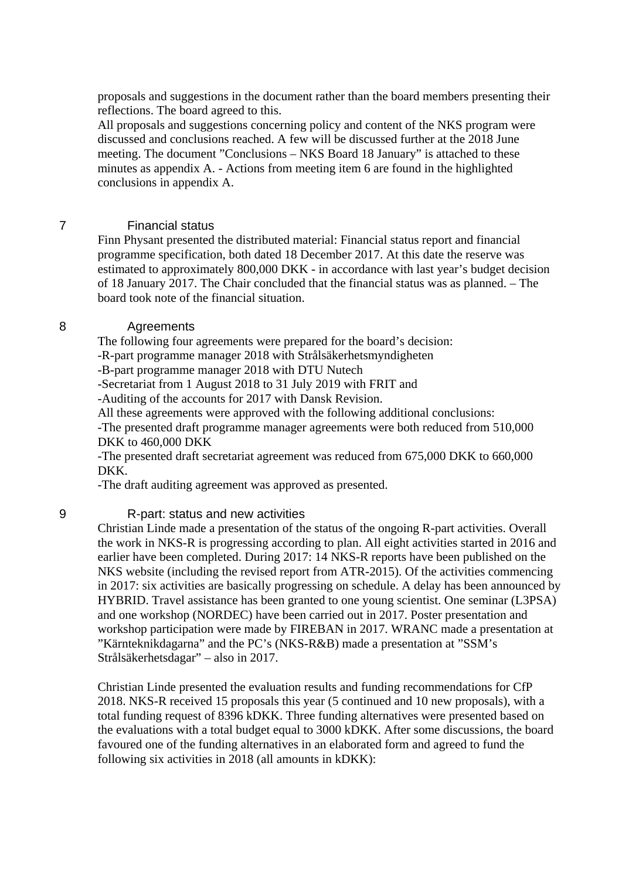proposals and suggestions in the document rather than the board members presenting their reflections. The board agreed to this.

All proposals and suggestions concerning policy and content of the NKS program were discussed and conclusions reached. A few will be discussed further at the 2018 June meeting. The document "Conclusions – NKS Board 18 January" is attached to these minutes as appendix A. - Actions from meeting item 6 are found in the highlighted conclusions in appendix A.

#### 7 Financial status

Finn Physant presented the distributed material: Financial status report and financial programme specification, both dated 18 December 2017. At this date the reserve was estimated to approximately 800,000 DKK - in accordance with last year's budget decision of 18 January 2017. The Chair concluded that the financial status was as planned. – The board took note of the financial situation.

#### 8 Agreements

The following four agreements were prepared for the board's decision:

-R-part programme manager 2018 with Strålsäkerhetsmyndigheten

-B-part programme manager 2018 with DTU Nutech

-Secretariat from 1 August 2018 to 31 July 2019 with FRIT and

-Auditing of the accounts for 2017 with Dansk Revision.

All these agreements were approved with the following additional conclusions:

-The presented draft programme manager agreements were both reduced from 510,000 DKK to 460,000 DKK

-The presented draft secretariat agreement was reduced from 675,000 DKK to 660,000 DKK.

-The draft auditing agreement was approved as presented.

#### 9 R-part: status and new activities

Christian Linde made a presentation of the status of the ongoing R-part activities. Overall the work in NKS-R is progressing according to plan. All eight activities started in 2016 and earlier have been completed. During 2017: 14 NKS-R reports have been published on the NKS website (including the revised report from ATR-2015). Of the activities commencing in 2017: six activities are basically progressing on schedule. A delay has been announced by HYBRID. Travel assistance has been granted to one young scientist. One seminar (L3PSA) and one workshop (NORDEC) have been carried out in 2017. Poster presentation and workshop participation were made by FIREBAN in 2017. WRANC made a presentation at "Kärnteknikdagarna" and the PC's (NKS-R&B) made a presentation at "SSM's Strålsäkerhetsdagar" – also in 2017.

Christian Linde presented the evaluation results and funding recommendations for CfP 2018. NKS-R received 15 proposals this year (5 continued and 10 new proposals), with a total funding request of 8396 kDKK. Three funding alternatives were presented based on the evaluations with a total budget equal to 3000 kDKK. After some discussions, the board favoured one of the funding alternatives in an elaborated form and agreed to fund the following six activities in 2018 (all amounts in kDKK):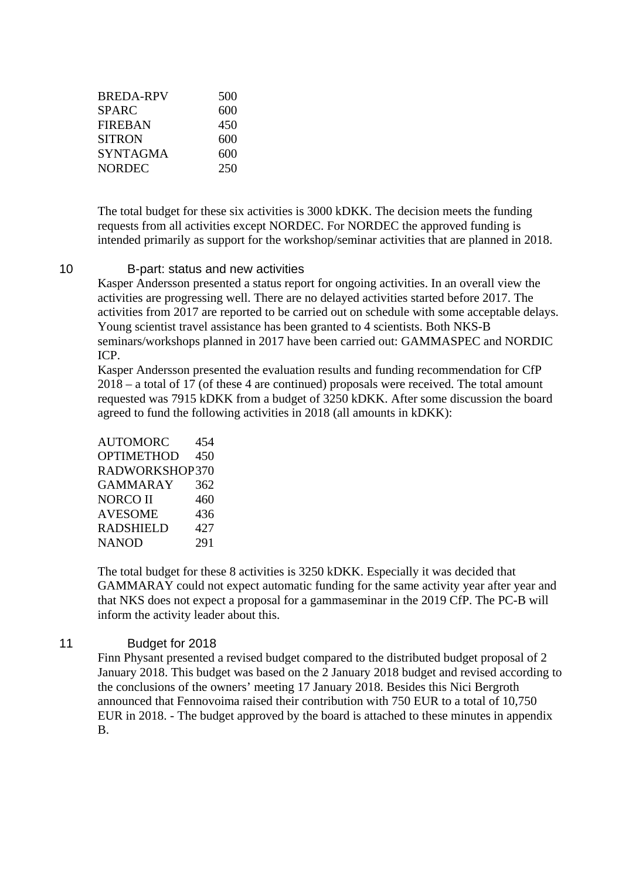| 500 |
|-----|
| 600 |
| 450 |
| 600 |
| 600 |
| 250 |
|     |

The total budget for these six activities is 3000 kDKK. The decision meets the funding requests from all activities except NORDEC. For NORDEC the approved funding is intended primarily as support for the workshop/seminar activities that are planned in 2018.

#### 10 B-part: status and new activities

Kasper Andersson presented a status report for ongoing activities. In an overall view the activities are progressing well. There are no delayed activities started before 2017. The activities from 2017 are reported to be carried out on schedule with some acceptable delays. Young scientist travel assistance has been granted to 4 scientists. Both NKS-B seminars/workshops planned in 2017 have been carried out: GAMMASPEC and NORDIC ICP.

Kasper Andersson presented the evaluation results and funding recommendation for CfP 2018 – a total of 17 (of these 4 are continued) proposals were received. The total amount requested was 7915 kDKK from a budget of 3250 kDKK. After some discussion the board agreed to fund the following activities in 2018 (all amounts in kDKK):

AUTOMORC 454 OPTIMETHOD 450 RADWORKSHOP 370 GAMMARAY 362 NORCO II 460 AVESOME 436 RADSHIELD 427 NANOD 291

The total budget for these 8 activities is 3250 kDKK. Especially it was decided that GAMMARAY could not expect automatic funding for the same activity year after year and that NKS does not expect a proposal for a gammaseminar in the 2019 CfP. The PC-B will inform the activity leader about this.

#### 11 Budget for 2018

Finn Physant presented a revised budget compared to the distributed budget proposal of 2 January 2018. This budget was based on the 2 January 2018 budget and revised according to the conclusions of the owners' meeting 17 January 2018. Besides this Nici Bergroth announced that Fennovoima raised their contribution with 750 EUR to a total of 10,750 EUR in 2018. - The budget approved by the board is attached to these minutes in appendix B.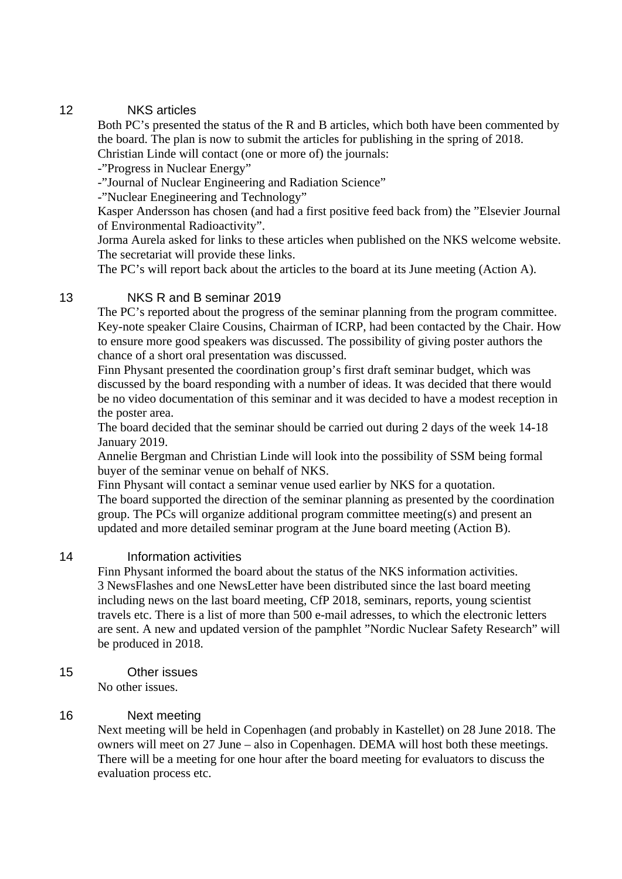#### 12 NKS articles

Both PC's presented the status of the R and B articles, which both have been commented by the board. The plan is now to submit the articles for publishing in the spring of 2018.

Christian Linde will contact (one or more of) the journals:

-"Progress in Nuclear Energy"

-"Journal of Nuclear Engineering and Radiation Science"

-"Nuclear Enegineering and Technology"

Kasper Andersson has chosen (and had a first positive feed back from) the "Elsevier Journal of Environmental Radioactivity".

Jorma Aurela asked for links to these articles when published on the NKS welcome website. The secretariat will provide these links.

The PC's will report back about the articles to the board at its June meeting (Action A).

#### 13 NKS R and B seminar 2019

The PC's reported about the progress of the seminar planning from the program committee. Key-note speaker Claire Cousins, Chairman of ICRP, had been contacted by the Chair. How to ensure more good speakers was discussed. The possibility of giving poster authors the chance of a short oral presentation was discussed.

Finn Physant presented the coordination group's first draft seminar budget, which was discussed by the board responding with a number of ideas. It was decided that there would be no video documentation of this seminar and it was decided to have a modest reception in the poster area.

The board decided that the seminar should be carried out during 2 days of the week 14-18 January 2019.

Annelie Bergman and Christian Linde will look into the possibility of SSM being formal buyer of the seminar venue on behalf of NKS.

Finn Physant will contact a seminar venue used earlier by NKS for a quotation. The board supported the direction of the seminar planning as presented by the coordination group. The PCs will organize additional program committee meeting(s) and present an updated and more detailed seminar program at the June board meeting (Action B).

#### 14 Information activities

Finn Physant informed the board about the status of the NKS information activities. 3 NewsFlashes and one NewsLetter have been distributed since the last board meeting including news on the last board meeting, CfP 2018, seminars, reports, young scientist travels etc. There is a list of more than 500 e-mail adresses, to which the electronic letters are sent. A new and updated version of the pamphlet "Nordic Nuclear Safety Research" will be produced in 2018.

15 Other issues

No other issues.

#### 16 Next meeting

Next meeting will be held in Copenhagen (and probably in Kastellet) on 28 June 2018. The owners will meet on 27 June – also in Copenhagen. DEMA will host both these meetings. There will be a meeting for one hour after the board meeting for evaluators to discuss the evaluation process etc.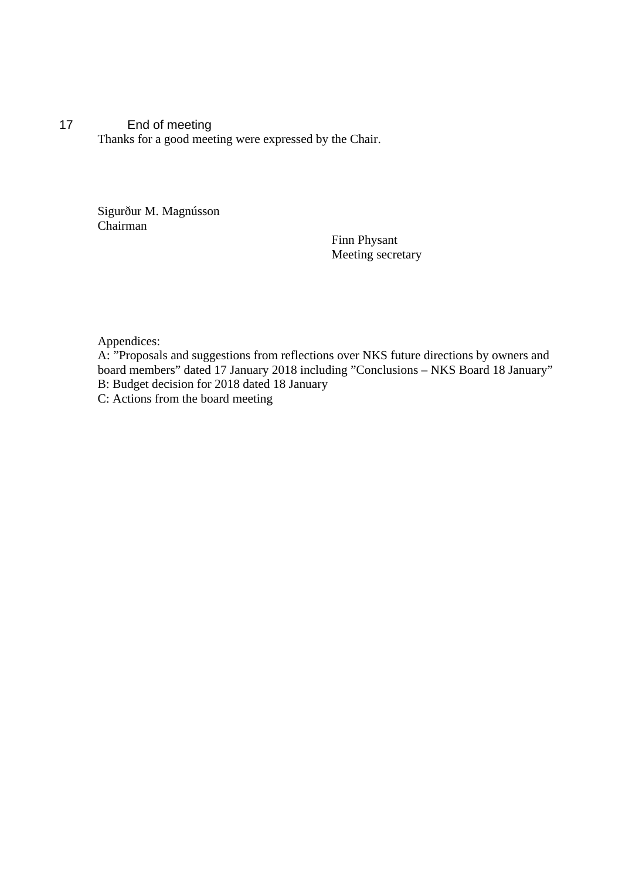17 End of meeting Thanks for a good meeting were expressed by the Chair.

> Sigurður M. Magnússon Chairman

Finn Physant Meeting secretary

Appendices:

A: "Proposals and suggestions from reflections over NKS future directions by owners and board members" dated 17 January 2018 including "Conclusions – NKS Board 18 January" B: Budget decision for 2018 dated 18 January C: Actions from the board meeting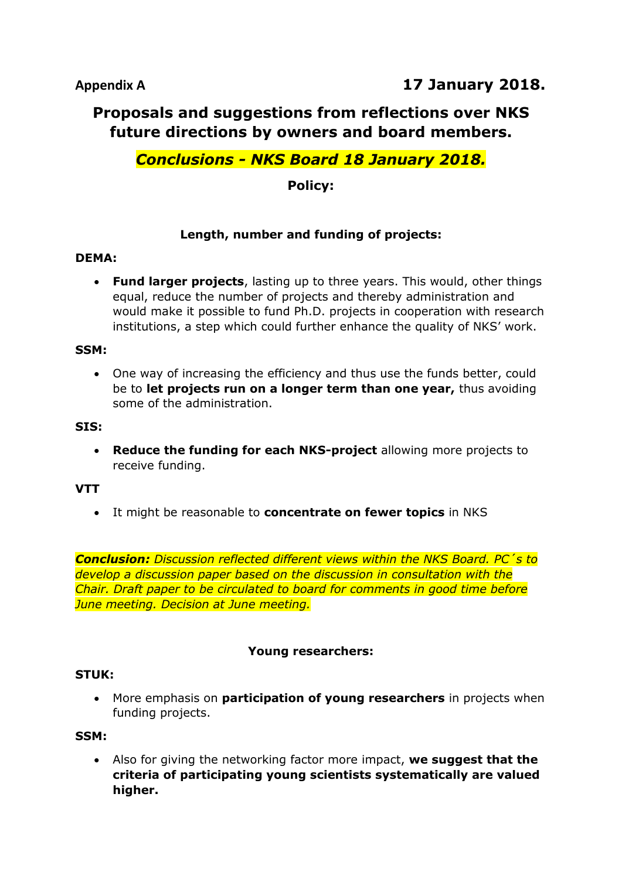## **Proposals and suggestions from reflections over NKS future directions by owners and board members.**

## *Conclusions - NKS Board 18 January 2018.*

## **Policy:**

### **Length, number and funding of projects:**

#### **DEMA:**

 **Fund larger projects**, lasting up to three years. This would, other things equal, reduce the number of projects and thereby administration and would make it possible to fund Ph.D. projects in cooperation with research institutions, a step which could further enhance the quality of NKS' work.

#### **SSM:**

 One way of increasing the efficiency and thus use the funds better, could be to **let projects run on a longer term than one year,** thus avoiding some of the administration.

#### **SIS:**

 **Reduce the funding for each NKS-project** allowing more projects to receive funding.

#### **VTT**

It might be reasonable to **concentrate on fewer topics** in NKS

*Conclusion: Discussion reflected different views within the NKS Board. PC´s to develop a discussion paper based on the discussion in consultation with the Chair. Draft paper to be circulated to board for comments in good time before June meeting. Decision at June meeting.*

#### **Young researchers:**

#### **STUK:**

 More emphasis on **participation of young researchers** in projects when funding projects.

#### **SSM:**

 Also for giving the networking factor more impact, **we suggest that the criteria of participating young scientists systematically are valued higher.**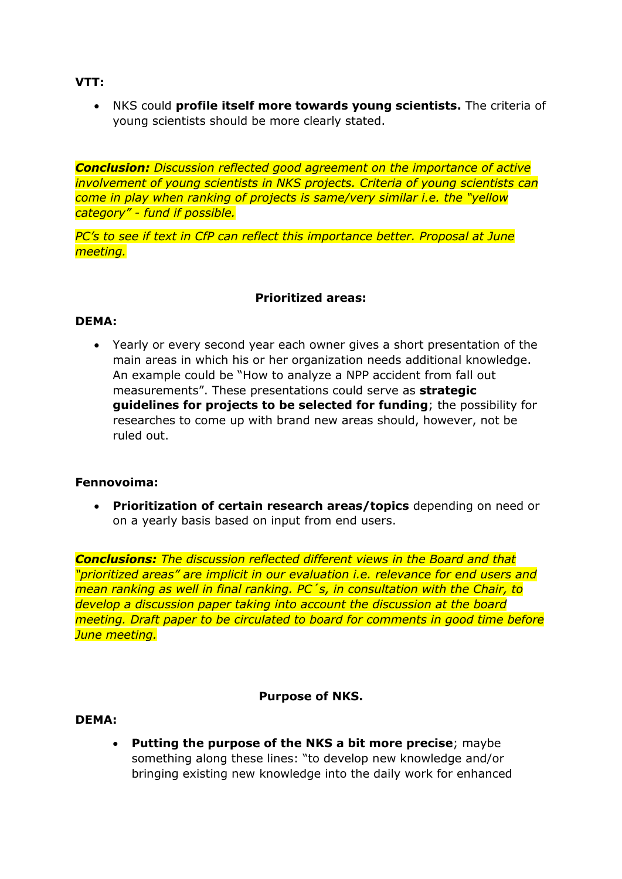**VTT:**

 NKS could **profile itself more towards young scientists.** The criteria of young scientists should be more clearly stated.

*Conclusion: Discussion reflected good agreement on the importance of active involvement of young scientists in NKS projects. Criteria of young scientists can come in play when ranking of projects is same/very similar i.e. the "yellow category" - fund if possible.*

*PC's to see if text in CfP can reflect this importance better. Proposal at June meeting.*

#### **Prioritized areas:**

#### **DEMA:**

 Yearly or every second year each owner gives a short presentation of the main areas in which his or her organization needs additional knowledge. An example could be "How to analyze a NPP accident from fall out measurements". These presentations could serve as **strategic guidelines for projects to be selected for funding**; the possibility for researches to come up with brand new areas should, however, not be ruled out.

#### **Fennovoima:**

 **Prioritization of certain research areas/topics** depending on need or on a yearly basis based on input from end users.

*Conclusions: The discussion reflected different views in the Board and that "prioritized areas" are implicit in our evaluation i.e. relevance for end users and mean ranking as well in final ranking. PC´s, in consultation with the Chair, to develop a discussion paper taking into account the discussion at the board meeting. Draft paper to be circulated to board for comments in good time before June meeting.*

#### **Purpose of NKS.**

#### **DEMA:**

 **Putting the purpose of the NKS a bit more precise**; maybe something along these lines: "to develop new knowledge and/or bringing existing new knowledge into the daily work for enhanced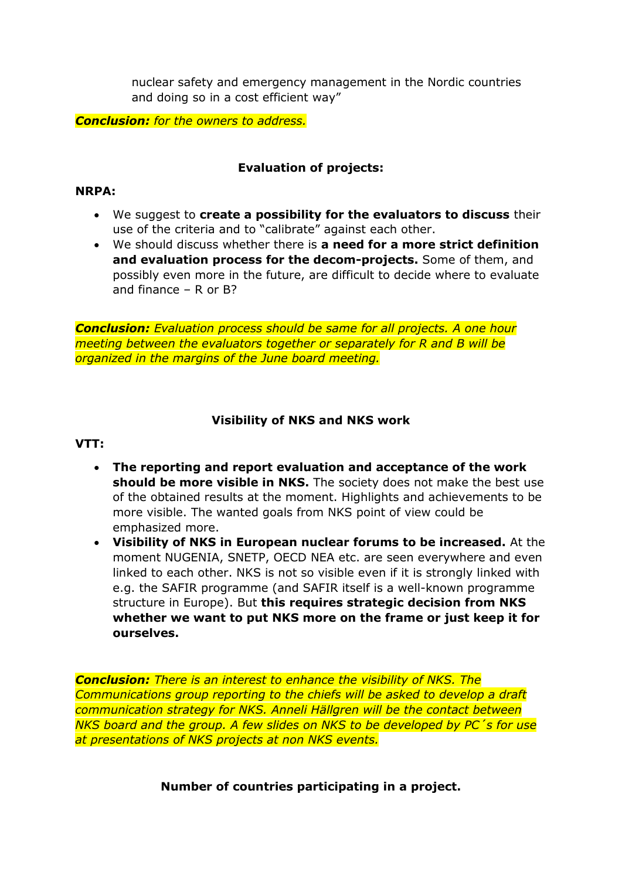nuclear safety and emergency management in the Nordic countries and doing so in a cost efficient way"

*Conclusion: for the owners to address.*

#### **Evaluation of projects:**

#### **NRPA:**

- We suggest to **create a possibility for the evaluators to discuss** their use of the criteria and to "calibrate" against each other.
- We should discuss whether there is **a need for a more strict definition and evaluation process for the decom-projects.** Some of them, and possibly even more in the future, are difficult to decide where to evaluate and finance – R or B?

*Conclusion: Evaluation process should be same for all projects. A one hour meeting between the evaluators together or separately for R and B will be organized in the margins of the June board meeting.*

#### **Visibility of NKS and NKS work**

#### **VTT:**

- **The reporting and report evaluation and acceptance of the work should be more visible in NKS.** The society does not make the best use of the obtained results at the moment. Highlights and achievements to be more visible. The wanted goals from NKS point of view could be emphasized more.
- **Visibility of NKS in European nuclear forums to be increased.** At the moment NUGENIA, SNETP, OECD NEA etc. are seen everywhere and even linked to each other. NKS is not so visible even if it is strongly linked with e.g. the SAFIR programme (and SAFIR itself is a well-known programme structure in Europe). But **this requires strategic decision from NKS whether we want to put NKS more on the frame or just keep it for ourselves.**

*Conclusion: There is an interest to enhance the visibility of NKS. The Communications group reporting to the chiefs will be asked to develop a draft communication strategy for NKS. Anneli Hällgren will be the contact between NKS board and the group. A few slides on NKS to be developed by PC´s for use at presentations of NKS projects at non NKS events.*

**Number of countries participating in a project.**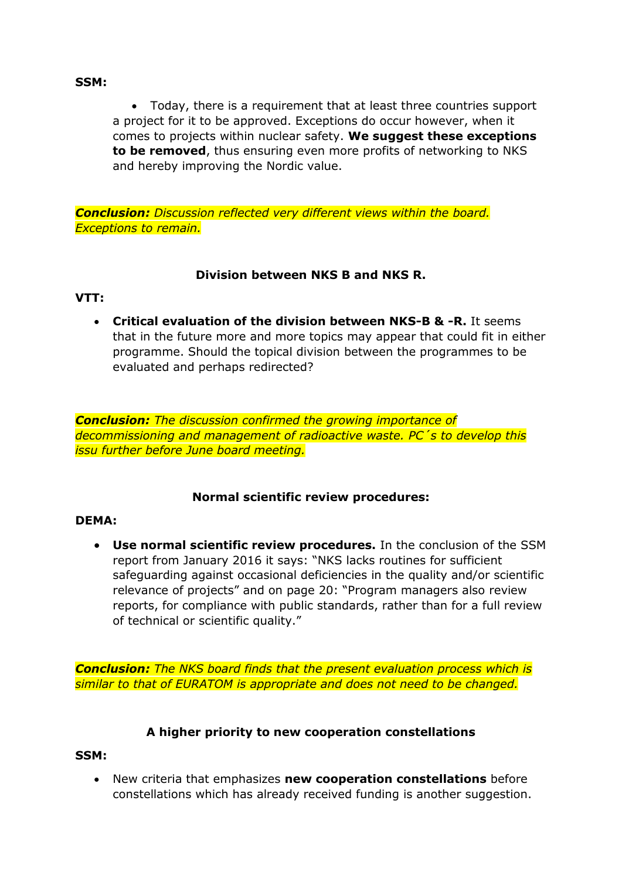#### **SSM:**

 Today, there is a requirement that at least three countries support a project for it to be approved. Exceptions do occur however, when it comes to projects within nuclear safety. **We suggest these exceptions to be removed**, thus ensuring even more profits of networking to NKS and hereby improving the Nordic value.

*Conclusion: Discussion reflected very different views within the board. Exceptions to remain.*

#### **Division between NKS B and NKS R.**

#### **VTT:**

 **Critical evaluation of the division between NKS-B & -R.** It seems that in the future more and more topics may appear that could fit in either programme. Should the topical division between the programmes to be evaluated and perhaps redirected?

*Conclusion: The discussion confirmed the growing importance of decommissioning and management of radioactive waste. PC´s to develop this issu further before June board meeting.*

#### **Normal scientific review procedures:**

#### **DEMA:**

 **Use normal scientific review procedures.** In the conclusion of the SSM report from January 2016 it says: "NKS lacks routines for sufficient safeguarding against occasional deficiencies in the quality and/or scientific relevance of projects" and on page 20: "Program managers also review reports, for compliance with public standards, rather than for a full review of technical or scientific quality."

*Conclusion: The NKS board finds that the present evaluation process which is similar to that of EURATOM is appropriate and does not need to be changed.*

#### **A higher priority to new cooperation constellations**

#### **SSM:**

 New criteria that emphasizes **new cooperation constellations** before constellations which has already received funding is another suggestion.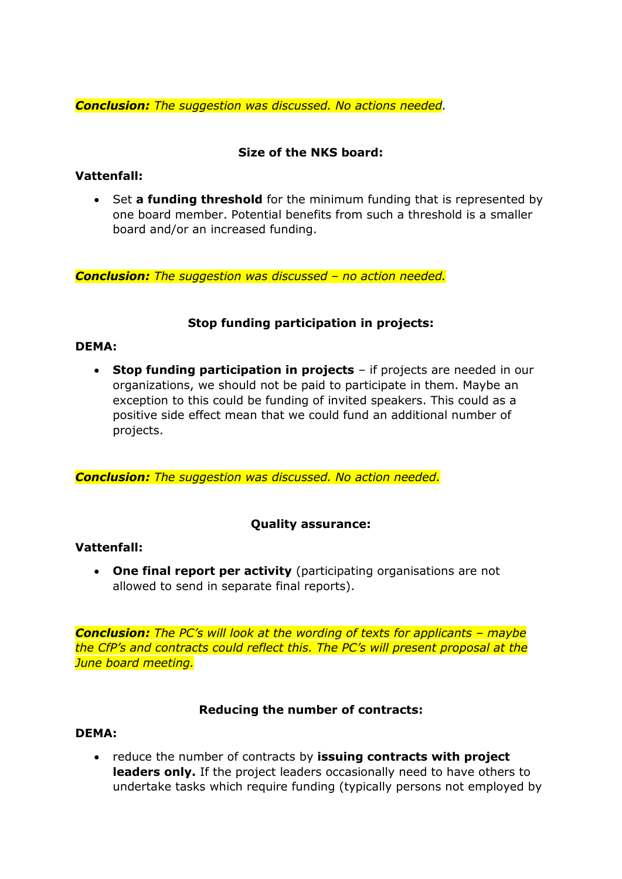*Conclusion: The suggestion was discussed. No actions needed.*

#### **Size of the NKS board:**

#### **Vattenfall:**

 Set **a funding threshold** for the minimum funding that is represented by one board member. Potential benefits from such a threshold is a smaller board and/or an increased funding.

*Conclusion: The suggestion was discussed – no action needed.* 

### **Stop funding participation in projects:**

#### **DEMA:**

 **Stop funding participation in projects** – if projects are needed in our organizations, we should not be paid to participate in them. Maybe an exception to this could be funding of invited speakers. This could as a positive side effect mean that we could fund an additional number of projects.

*Conclusion: The suggestion was discussed. No action needed.*

#### **Quality assurance:**

#### **Vattenfall:**

 **One final report per activity** (participating organisations are not allowed to send in separate final reports).

*Conclusion: The PC's will look at the wording of texts for applicants – maybe the CfP's and contracts could reflect this. The PC's will present proposal at the June board meeting.*

#### **Reducing the number of contracts:**

#### **DEMA:**

 reduce the number of contracts by **issuing contracts with project leaders only.** If the project leaders occasionally need to have others to undertake tasks which require funding (typically persons not employed by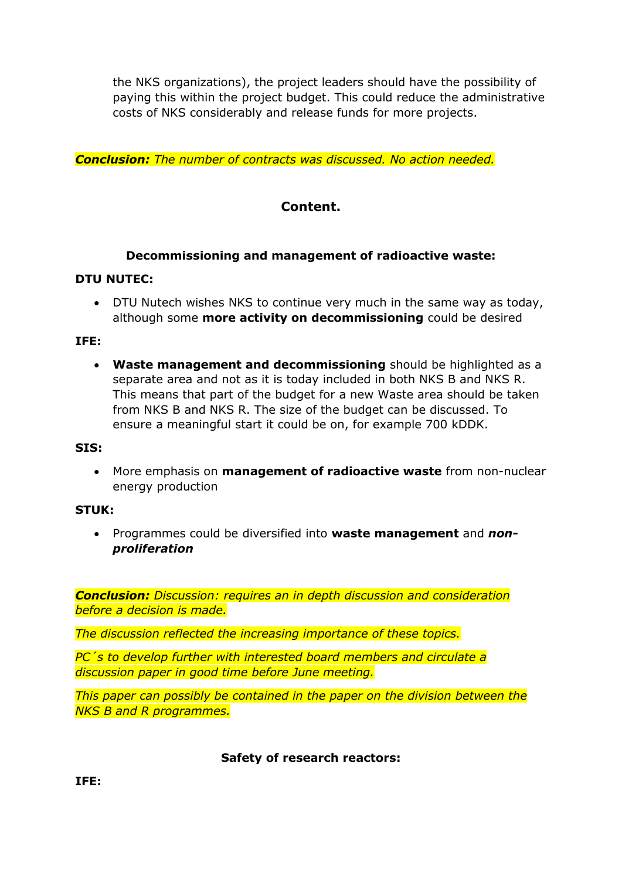the NKS organizations), the project leaders should have the possibility of paying this within the project budget. This could reduce the administrative costs of NKS considerably and release funds for more projects.

*Conclusion: The number of contracts was discussed. No action needed.*

## **Content.**

#### **Decommissioning and management of radioactive waste:**

#### **DTU NUTEC:**

 DTU Nutech wishes NKS to continue very much in the same way as today, although some **more activity on decommissioning** could be desired

#### **IFE:**

 **Waste management and decommissioning** should be highlighted as a separate area and not as it is today included in both NKS B and NKS R. This means that part of the budget for a new Waste area should be taken from NKS B and NKS R. The size of the budget can be discussed. To ensure a meaningful start it could be on, for example 700 kDDK.

#### **SIS:**

 More emphasis on **management of radioactive waste** from non-nuclear energy production

#### **STUK:**

 Programmes could be diversified into **waste management** and *nonproliferation*

*Conclusion: Discussion: requires an in depth discussion and consideration before a decision is made.*

*The discussion reflected the increasing importance of these topics.*

*PC´s to develop further with interested board members and circulate a discussion paper in good time before June meeting.* 

*This paper can possibly be contained in the paper on the division between the NKS B and R programmes.*

#### **Safety of research reactors:**

**IFE:**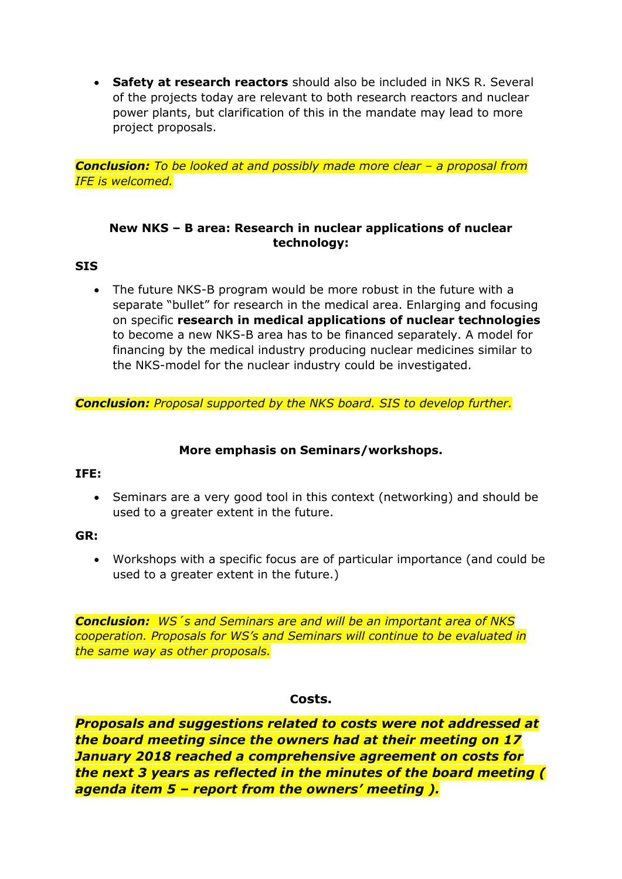**Safety at research reactors** should also be included in NKS R. Several of the projects today are relevant to both research reactors and nuclear power plants, but clarification of this in the mandate may lead to more project proposals.

*Conclusion: To be looked at and possibly made more clear – a proposal from IFE is welcomed.*

#### **New NKS – B area: Research in nuclear applications of nuclear technology:**

#### **SIS**

 The future NKS-B program would be more robust in the future with a separate "bullet" for research in the medical area. Enlarging and focusing on specific **research in medical applications of nuclear technologies** to become a new NKS-B area has to be financed separately. A model for financing by the medical industry producing nuclear medicines similar to the NKS-model for the nuclear industry could be investigated.

*Conclusion: Proposal supported by the NKS board. SIS to develop further.*

#### **More emphasis on Seminars/workshops.**

#### **IFE:**

 Seminars are a very good tool in this context (networking) and should be used to a greater extent in the future.

#### **GR:**

 Workshops with a specific focus are of particular importance (and could be used to a greater extent in the future.)

*Conclusion: WS´s and Seminars are and will be an important area of NKS cooperation. Proposals for WS's and Seminars will continue to be evaluated in the same way as other proposals.*

#### **Costs.**

*Proposals and suggestions related to costs were not addressed at the board meeting since the owners had at their meeting on 17 January 2018 reached a comprehensive agreement on costs for the next 3 years as reflected in the minutes of the board meeting ( agenda item 5 – report from the owners' meeting ).*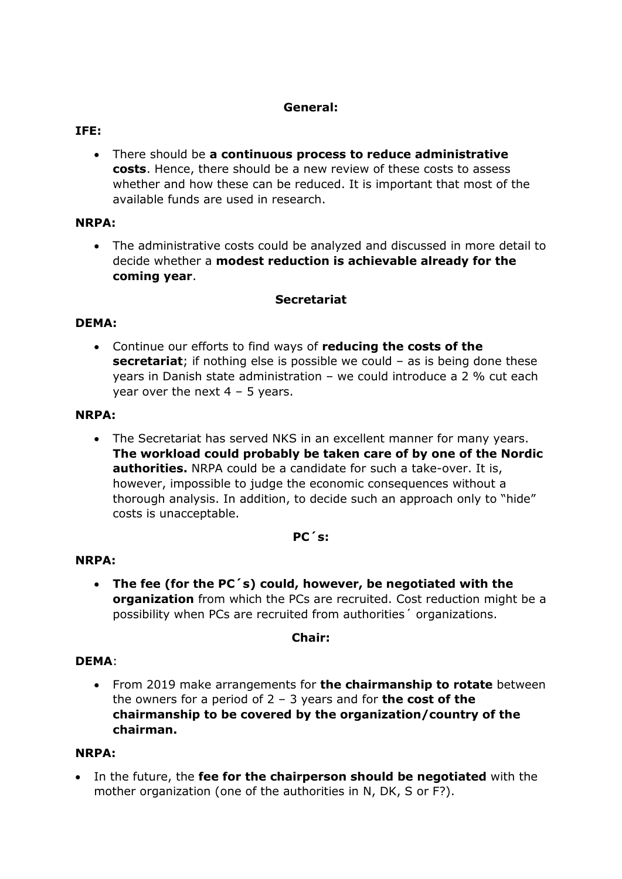#### **General:**

#### **IFE:**

 There should be **a continuous process to reduce administrative costs**. Hence, there should be a new review of these costs to assess whether and how these can be reduced. It is important that most of the available funds are used in research.

#### **NRPA:**

 The administrative costs could be analyzed and discussed in more detail to decide whether a **modest reduction is achievable already for the coming year**.

#### **Secretariat**

#### **DEMA:**

 Continue our efforts to find ways of **reducing the costs of the secretariat**; if nothing else is possible we could – as is being done these years in Danish state administration – we could introduce a 2 % cut each year over the next  $4 - 5$  years.

#### **NRPA:**

 The Secretariat has served NKS in an excellent manner for many years. **The workload could probably be taken care of by one of the Nordic authorities.** NRPA could be a candidate for such a take-over. It is, however, impossible to judge the economic consequences without a thorough analysis. In addition, to decide such an approach only to "hide" costs is unacceptable.

#### **PC´s:**

#### **NRPA:**

 **The fee (for the PC´s) could, however, be negotiated with the organization** from which the PCs are recruited. Cost reduction might be a possibility when PCs are recruited from authorities´ organizations.

#### **Chair:**

#### **DEMA**:

 From 2019 make arrangements for **the chairmanship to rotate** between the owners for a period of 2 – 3 years and for **the cost of the chairmanship to be covered by the organization/country of the chairman.**

#### **NRPA:**

 In the future, the **fee for the chairperson should be negotiated** with the mother organization (one of the authorities in N, DK, S or F?).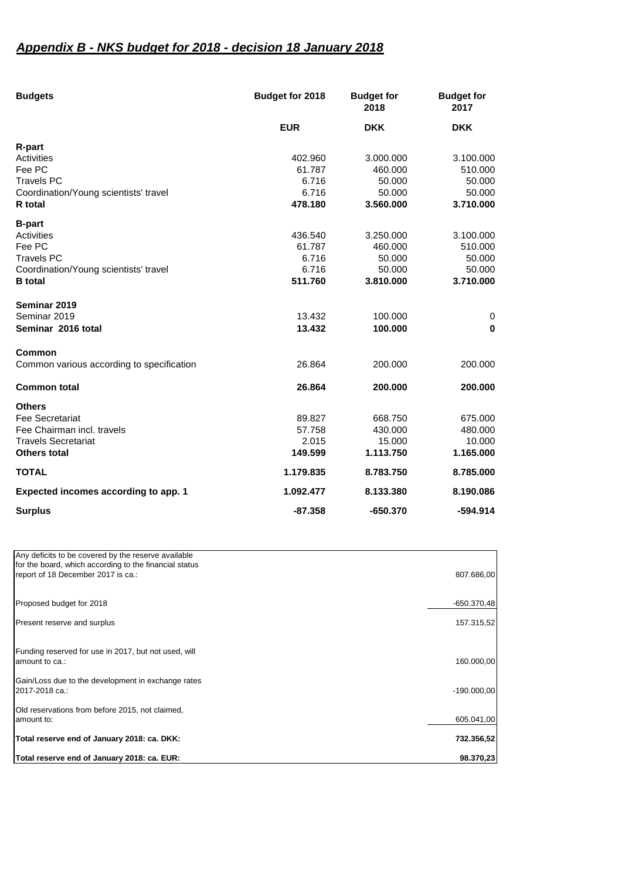## *Appendix B - NKS budget for 2018 - decision 18 January 2018*

| <b>Budgets</b>                            | <b>Budget for 2018</b> | <b>Budget for</b><br>2018 | <b>Budget for</b><br>2017 |
|-------------------------------------------|------------------------|---------------------------|---------------------------|
|                                           | <b>EUR</b>             | <b>DKK</b>                | <b>DKK</b>                |
| R-part                                    |                        |                           |                           |
| Activities                                | 402.960                | 3.000.000                 | 3.100.000                 |
| Fee PC                                    | 61.787                 | 460.000                   | 510.000                   |
| <b>Travels PC</b>                         | 6.716                  | 50.000                    | 50.000                    |
| Coordination/Young scientists' travel     | 6.716                  | 50.000                    | 50.000                    |
| R total                                   | 478.180                | 3.560.000                 | 3.710.000                 |
| <b>B-part</b>                             |                        |                           |                           |
| Activities                                | 436.540                | 3.250.000                 | 3.100.000                 |
| Fee PC                                    | 61.787                 | 460.000                   | 510.000                   |
| <b>Travels PC</b>                         | 6.716                  | 50.000                    | 50.000                    |
| Coordination/Young scientists' travel     | 6.716                  | 50.000                    | 50.000                    |
| <b>B</b> total                            | 511.760                | 3.810.000                 | 3.710.000                 |
| Seminar 2019                              |                        |                           |                           |
| Seminar 2019                              | 13.432                 | 100.000                   | 0                         |
| Seminar 2016 total                        | 13.432                 | 100.000                   | $\bf{0}$                  |
| Common                                    |                        |                           |                           |
| Common various according to specification | 26.864                 | 200.000                   | 200.000                   |
| <b>Common total</b>                       | 26.864                 | 200,000                   | 200.000                   |
| <b>Others</b>                             |                        |                           |                           |
| <b>Fee Secretariat</b>                    | 89.827                 | 668.750                   | 675.000                   |
| Fee Chairman incl. travels                | 57.758                 | 430.000                   | 480.000                   |
| <b>Travels Secretariat</b>                | 2.015                  | 15.000                    | 10.000                    |
| Others total                              | 149.599                | 1.113.750                 | 1.165.000                 |
| <b>TOTAL</b>                              | 1.179.835              | 8.783.750                 | 8.785.000                 |
| Expected incomes according to app. 1      | 1.092.477              | 8.133.380                 | 8.190.086                 |
| <b>Surplus</b>                            | $-87.358$              | $-650.370$                | $-594.914$                |

| Any deficits to be covered by the reserve available           |               |
|---------------------------------------------------------------|---------------|
| for the board, which according to the financial status        |               |
| report of 18 December 2017 is ca.:                            | 807.686,00    |
|                                                               |               |
| Proposed budget for 2018                                      | $-650.370.48$ |
|                                                               |               |
| Present reserve and surplus                                   | 157.315,52    |
|                                                               |               |
| Funding reserved for use in 2017, but not used, will          |               |
| amount to ca.:                                                | 160.000,00    |
| Gain/Loss due to the development in exchange rates            |               |
| 2017-2018 ca.:                                                | $-190.000,00$ |
|                                                               |               |
| Old reservations from before 2015, not claimed,<br>amount to: | 605.041,00    |
|                                                               |               |
| Total reserve end of January 2018: ca. DKK:                   | 732.356,52    |
|                                                               |               |
| Total reserve end of January 2018: ca. EUR:                   | 98.370,23     |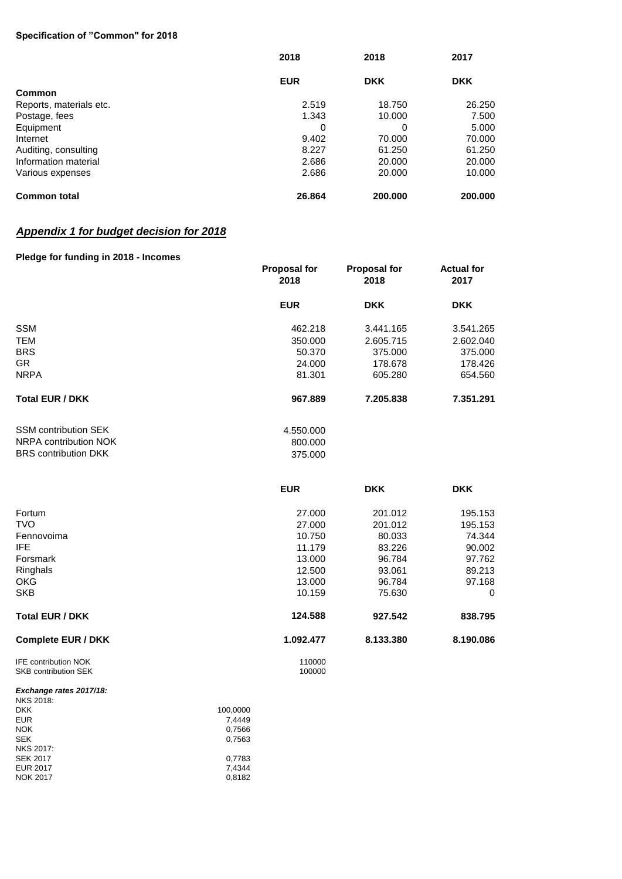#### **Specification of "Common" for 2018**

|                         | 2018       | 2018       | 2017       |
|-------------------------|------------|------------|------------|
|                         | <b>EUR</b> | <b>DKK</b> | <b>DKK</b> |
| Common                  |            |            |            |
| Reports, materials etc. | 2.519      | 18.750     | 26,250     |
| Postage, fees           | 1.343      | 10.000     | 7.500      |
| Equipment               | 0          | 0          | 5.000      |
| Internet                | 9.402      | 70,000     | 70.000     |
| Auditing, consulting    | 8.227      | 61.250     | 61.250     |
| Information material    | 2.686      | 20,000     | 20,000     |
| Various expenses        | 2.686      | 20,000     | 10.000     |
| <b>Common total</b>     | 26.864     | 200.000    | 200,000    |

#### *Appendix 1 for budget decision for 2018*

#### **Pledge for funding in 2018 - Incomes**

|                                                            | <b>Proposal for</b><br>2018 | <b>Proposal for</b><br>2018 | <b>Actual for</b><br>2017 |
|------------------------------------------------------------|-----------------------------|-----------------------------|---------------------------|
|                                                            | <b>EUR</b>                  | <b>DKK</b>                  | <b>DKK</b>                |
| <b>SSM</b>                                                 | 462.218                     | 3.441.165                   | 3.541.265                 |
| <b>TEM</b>                                                 | 350.000                     | 2.605.715                   | 2.602.040                 |
| <b>BRS</b>                                                 | 50.370                      | 375.000                     | 375.000                   |
| <b>GR</b>                                                  | 24.000                      | 178.678                     | 178.426                   |
| <b>NRPA</b>                                                | 81.301                      | 605.280                     | 654.560                   |
| <b>Total EUR / DKK</b>                                     | 967.889                     | 7.205.838                   | 7.351.291                 |
| <b>SSM contribution SEK</b>                                | 4.550.000                   |                             |                           |
| NRPA contribution NOK                                      | 800.000                     |                             |                           |
| <b>BRS contribution DKK</b>                                | 375.000                     |                             |                           |
|                                                            | <b>EUR</b>                  | <b>DKK</b>                  | <b>DKK</b>                |
| Fortum                                                     | 27.000                      | 201.012                     | 195.153                   |
| <b>TVO</b>                                                 | 27.000                      | 201.012                     | 195.153                   |
| Fennovoima                                                 | 10.750                      | 80.033                      | 74.344                    |
| <b>IFE</b>                                                 | 11.179                      | 83.226                      | 90.002                    |
| Forsmark                                                   | 13.000                      | 96.784                      | 97.762                    |
| Ringhals                                                   | 12.500                      | 93.061                      | 89.213                    |
| <b>OKG</b>                                                 | 13.000                      | 96.784                      | 97.168                    |
| <b>SKB</b>                                                 | 10.159                      | 75.630                      | $\mathbf 0$               |
| <b>Total EUR / DKK</b>                                     | 124.588                     | 927.542                     | 838.795                   |
| <b>Complete EUR / DKK</b>                                  | 1.092.477                   | 8.133.380                   | 8.190.086                 |
| <b>IFE contribution NOK</b><br><b>SKB contribution SEK</b> | 110000<br>100000            |                             |                           |
| Exchange rates 2017/18:<br><b>NKS 2018:</b>                |                             |                             |                           |

| 111022010.       |          |
|------------------|----------|
| <b>DKK</b>       | 100.0000 |
| <b>EUR</b>       | 7.4449   |
| <b>NOK</b>       | 0.7566   |
| <b>SEK</b>       | 0,7563   |
| <b>NKS 2017:</b> |          |
| <b>SEK 2017</b>  | 0,7783   |
| <b>EUR 2017</b>  | 7.4344   |
| <b>NOK 2017</b>  | 0.8182   |
|                  |          |